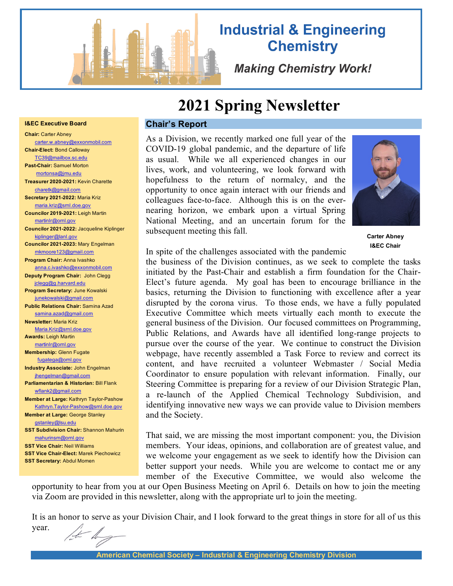

# **Industrial & Engineering Chemistry**

**Making Chemistry Work!** 

# **2021 Spring Newsletter**

## **Chair's Report**

As a Division, we recently marked one full year of the COVID-19 global pandemic, and the departure of life as usual. While we all experienced changes in our lives, work, and volunteering, we look forward with hopefulness to the return of normalcy, and the opportunity to once again interact with our friends and colleagues face-to-face. Although this is on the evernearing horizon, we embark upon a virtual Spring National Meeting, and an uncertain forum for the subsequent meeting this fall.



**Carter Abney I&EC Chair**

In spite of the challenges associated with the pandemic

the business of the Division continues, as we seek to complete the tasks initiated by the Past-Chair and establish a firm foundation for the Chair-Elect's future agenda. My goal has been to encourage brilliance in the basics, returning the Division to functioning with excellence after a year disrupted by the corona virus. To those ends, we have a fully populated Executive Committee which meets virtually each month to execute the general business of the Division. Our focused committees on Programming, Public Relations, and Awards have all identified long-range projects to pursue over the course of the year. We continue to construct the Division webpage, have recently assembled a Task Force to review and correct its content, and have recruited a volunteer Webmaster / Social Media Coordinator to ensure population with relevant information. Finally, our Steering Committee is preparing for a review of our Division Strategic Plan, a re-launch of the Applied Chemical Technology Subdivision, and identifying innovative new ways we can provide value to Division members and the Society.

That said, we are missing the most important component: you, the Division members. Your ideas, opinions, and collaboration are of greatest value, and we welcome your engagement as we seek to identify how the Division can better support your needs. While you are welcome to contact me or any member of the Executive Committee, we would also welcome the

opportunity to hear from you at our Open Business Meeting on April 6. Details on how to join the meeting via Zoom are provided in this newsletter, along with the appropriate url to join the meeting.

It is an honor to serve as your Division Chair, and I look forward to the great things in store for all of us this year.

#### **I&EC Executive Board**

**Chair:** Carter Abney [carter.w.abney@exxonmobil.com](mailto:carter.w.abney@exxonmobil.com) **Chair-Elect:** Bond Calloway [TC39@mailbox.sc.edu](mailto:TC39@mailbox.sc.edu) **Past-Chair:** Samuel Morton mortonsa@jmu.edu **Treasurer 2020-2021:** Kevin Charette [charetk@gmail.com](mailto:charetk@gmail.com) **Secretary 2021-2022:** Maria Kriz [maria.kriz@srnl.doe.gov](mailto:maria.kriz@srnl.doe.gov) **Councilor 2019-2021:** Leigh Martin martinlr@ornl.gov **Councilor 2021-2022:** Jacqueline Kiplinger [kiplinger@lanl.gov](mailto:kiplinger@lanl.gov) **Councilor 2021-2023:** Mary Engelman [mkmoore123@gmail.com](mailto:mkmoore123@gmail.com) **Program Chair:** Anna Ivashko anna.c.ivashko@exxonmobil.com **Deputy Program Chair:** John Clegg jclegg@g.harvard.edu **Program Secretary:** June Kowalski junekowalski@gmail.com **Public Relations Chair:** Samina Azad [samina.azad@gmail.com](mailto:samina.azad@gmail.com) **Newsletter:** Maria Kriz [Maria.Kriz@srnl.doe.gov](mailto:Maria.Kriz@srnl.doe.gov) **Awards:** Leigh Martin [martinlr@ornl.gov](mailto:martinlr@ornl.gov) **Membership:** Glenn Fugate  [fugatega@ornl.gov](mailto:fugatega@ornl.gov)  **Industry Associate:** John Engelman jhengelman@gmail.com **Parliamentarian & Historian:** Bill Flank [wflank2@gmail.com](mailto:wflank2@gmail.com) **Member at Large:** Kathryn Taylor-Pashow [Kathryn.Taylor-Pashow@srnl.doe.gov](mailto:Kathryn.Taylor-Pashow@srnl.doe.gov) **Member at Large:** George Stanley [gstanley@lsu.edu](mailto:gstanley@lsu.edu) **SST Subdivision Chair:** Shannon Mahurin [mahurinsm@ornl.gov](mailto:mahurinsm@ornl.gov) **SST Vice Chair:** Neil Williams **SST Vice Chair-Elect:** Marek Piechowicz **SST Secretary:** Abdul Momen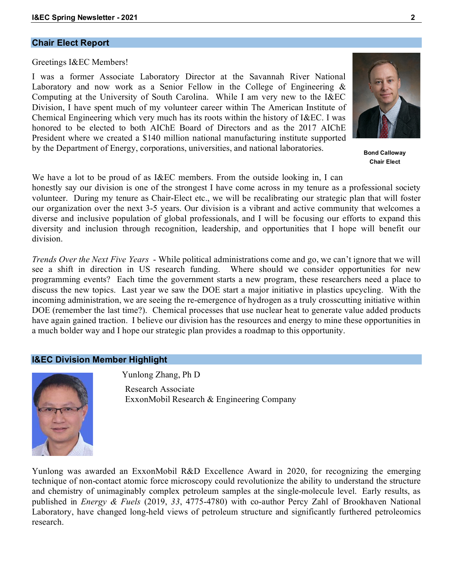## **Chair Elect Report**

Greetings I&EC Members!

I was a former Associate Laboratory Director at the Savannah River National Laboratory and now work as a Senior Fellow in the College of Engineering & Computing at the University of South Carolina. While I am very new to the I&EC Division, I have spent much of my volunteer career within The American Institute of Chemical Engineering which very much has its roots within the history of I&EC. I was honored to be elected to both AIChE Board of Directors and as the 2017 AIChE President where we created a \$140 million national manufacturing institute supported by the Department of Energy, corporations, universities, and national laboratories.

We have a lot to be proud of as I&EC members. From the outside looking in, I can honestly say our division is one of the strongest I have come across in my tenure as a professional society volunteer. During my tenure as Chair-Elect etc., we will be recalibrating our strategic plan that will foster our organization over the next 3-5 years. Our division is a vibrant and active community that welcomes a diverse and inclusive population of global professionals, and I will be focusing our efforts to expand this diversity and inclusion through recognition, leadership, and opportunities that I hope will benefit our division.

*Trends Over the Next Five Years* - While political administrations come and go, we can't ignore that we will see a shift in direction in US research funding. Where should we consider opportunities for new programming events? Each time the government starts a new program, these researchers need a place to discuss the new topics. Last year we saw the DOE start a major initiative in plastics upcycling. With the incoming administration, we are seeing the re-emergence of hydrogen as a truly crosscutting initiative within DOE (remember the last time?). Chemical processes that use nuclear heat to generate value added products have again gained traction. I believe our division has the resources and energy to mine these opportunities in a much bolder way and I hope our strategic plan provides a roadmap to this opportunity.

## **I&EC Division Member Highlight**

Yunlong Zhang, Ph D

Research Associate ExxonMobil Research & Engineering Company

Yunlong was awarded an ExxonMobil R&D Excellence Award in 2020, for recognizing the emerging technique of non-contact atomic force microscopy could revolutionize the ability to understand the structure and chemistry of unimaginably complex petroleum samples at the single-molecule level. Early results, as published in *Energy & Fuels* (2019, *33*, 4775-4780) with co-author Percy Zahl of Brookhaven National Laboratory, have changed long-held views of petroleum structure and significantly furthered petroleomics research.





**Bond Calloway Chair Elect**

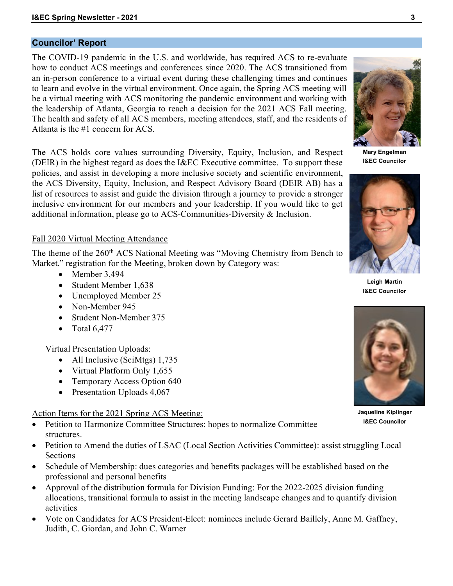## **Councilor' Report**

The COVID-19 pandemic in the U.S. and worldwide, has required ACS to re-evaluate how to conduct ACS meetings and conferences since 2020. The ACS transitioned from an in-person conference to a virtual event during these challenging times and continues to learn and evolve in the virtual environment. Once again, the Spring ACS meeting will be a virtual meeting with ACS monitoring the pandemic environment and working with the leadership of Atlanta, Georgia to reach a decision for the 2021 ACS Fall meeting. The health and safety of all ACS members, meeting attendees, staff, and the residents of Atlanta is the #1 concern for ACS.

The ACS holds core values surrounding Diversity, Equity, Inclusion, and Respect (DEIR) in the highest regard as does the I&EC Executive committee. To support these policies, and assist in developing a more inclusive society and scientific environment, the ACS Diversity, Equity, Inclusion, and Respect Advisory Board (DEIR AB) has a list of resources to assist and guide the division through a journey to provide a stronger inclusive environment for our members and your leadership. If you would like to get additional information, please go to ACS-Communities-Diversity & Inclusion.

## Fall 2020 Virtual Meeting Attendance

The theme of the 260<sup>th</sup> ACS National Meeting was "Moving Chemistry from Bench to Market." registration for the Meeting, broken down by Category was:

- Member 3,494
- Student Member 1,638
- Unemployed Member 25
- Non-Member 945
- Student Non-Member 375
- Total  $6,477$

Virtual Presentation Uploads:

- All Inclusive (SciMtgs) 1,735
- Virtual Platform Only 1,655
- Temporary Access Option 640
- Presentation Uploads 4,067

## Action Items for the 2021 Spring ACS Meeting:

- Petition to Harmonize Committee Structures: hopes to normalize Committee structures.
- Petition to Amend the duties of LSAC (Local Section Activities Committee): assist struggling Local **Sections**
- Schedule of Membership: dues categories and benefits packages will be established based on the professional and personal benefits
- Approval of the distribution formula for Division Funding: For the 2022-2025 division funding allocations, transitional formula to assist in the meeting landscape changes and to quantify division activities
- Vote on Candidates for ACS President-Elect: nominees include Gerard Baillely, Anne M. Gaffney, Judith, C. Giordan, and John C. Warner

**Mary Engelman I&EC Councilor**

**Leigh Martin I&EC Councilor**

**Jaqueline Kiplinger I&EC Councilor**





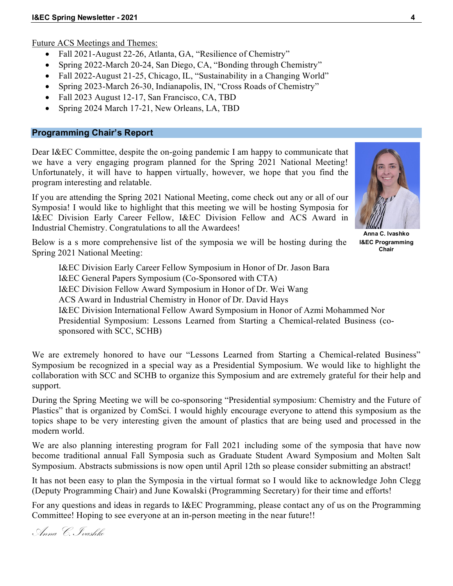Future ACS Meetings and Themes:

- Fall 2021-August 22-26, Atlanta, GA, "Resilience of Chemistry"
- Spring 2022-March 20-24, San Diego, CA, "Bonding through Chemistry"
- Fall 2022-August 21-25, Chicago, IL, "Sustainability in a Changing World"
- Spring 2023-March 26-30, Indianapolis, IN, "Cross Roads of Chemistry"
- Fall 2023 August 12-17, San Francisco, CA, TBD
- Spring 2024 March 17-21, New Orleans, LA, TBD

## **Programming Chair's Report**

Dear I&EC Committee, despite the on-going pandemic I am happy to communicate that we have a very engaging program planned for the Spring 2021 National Meeting! Unfortunately, it will have to happen virtually, however, we hope that you find the program interesting and relatable.

If you are attending the Spring 2021 National Meeting, come check out any or all of our Symposia! I would like to highlight that this meeting we will be hosting Symposia for I&EC Division Early Career Fellow, I&EC Division Fellow and ACS Award in Industrial Chemistry. Congratulations to all the Awardees!

Below is a s more comprehensive list of the symposia we will be hosting during the Spring 2021 National Meeting:

I&EC Division Early Career Fellow Symposium in Honor of Dr. Jason Bara I&EC General Papers Symposium (Co-Sponsored with CTA) I&EC Division Fellow Award Symposium in Honor of Dr. Wei Wang ACS Award in Industrial Chemistry in Honor of Dr. David Hays I&EC Division International Fellow Award Symposium in Honor of Azmi Mohammed Nor Presidential Symposium: Lessons Learned from Starting a Chemical-related Business (cosponsored with SCC, SCHB)

We are extremely honored to have our "Lessons Learned from Starting a Chemical-related Business" Symposium be recognized in a special way as a Presidential Symposium. We would like to highlight the collaboration with SCC and SCHB to organize this Symposium and are extremely grateful for their help and support.

During the Spring Meeting we will be co-sponsoring "Presidential symposium: Chemistry and the Future of Plastics" that is organized by ComSci. I would highly encourage everyone to attend this symposium as the topics shape to be very interesting given the amount of plastics that are being used and processed in the modern world.

We are also planning interesting program for Fall 2021 including some of the symposia that have now become traditional annual Fall Symposia such as Graduate Student Award Symposium and Molten Salt Symposium. Abstracts submissions is now open until April 12th so please consider submitting an abstract!

It has not been easy to plan the Symposia in the virtual format so I would like to acknowledge John Clegg (Deputy Programming Chair) and June Kowalski (Programming Secretary) for their time and efforts!

For any questions and ideas in regards to I&EC Programming, please contact any of us on the Programming Committee! Hoping to see everyone at an in-person meeting in the near future!!

**Anna C. Ivashko I&EC Programming Chair**

Anna C. Ivashko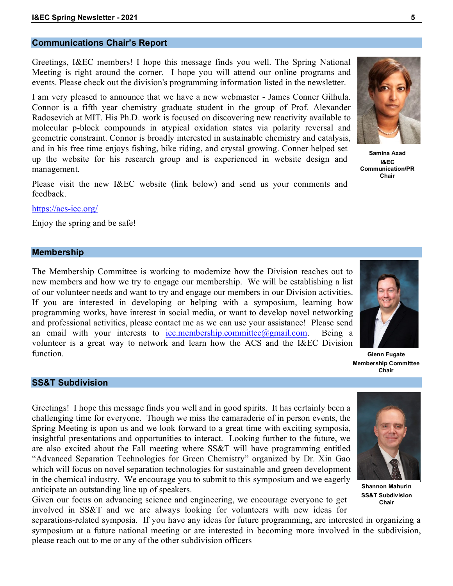## **Communications Chair's Report**

Greetings, I&EC members! I hope this message finds you well. The Spring National Meeting is right around the corner. I hope you will attend our online programs and events. Please check out the division's programming information listed in the newsletter.

I am very pleased to announce that we have a new webmaster - James Conner Gilhula. Connor is a fifth year chemistry graduate student in the group of Prof. Alexander Radosevich at MIT. His Ph.D. work is focused on discovering new reactivity available to molecular p-block compounds in atypical oxidation states via polarity reversal and geometric constraint. Connor is broadly interested in sustainable chemistry and catalysis, and in his free time enjoys fishing, bike riding, and crystal growing. Conner helped set up the website for his research group and is experienced in website design and management.

Please visit the new I&EC website (link below) and send us your comments and feedback.

<https://acs-iec.org/>

Enjoy the spring and be safe!

## **Membership**

The Membership Committee is working to modernize how the Division reaches out to new members and how we try to engage our membership. We will be establishing a list of our volunteer needs and want to try and engage our members in our Division activities. If you are interested in developing or helping with a symposium, learning how programming works, have interest in social media, or want to develop novel networking and professional activities, please contact me as we can use your assistance! Please send an email with your interests to [iec.membership.committee@gmail.com.](mailto:iec.membership.committee@gmail.com) Being a volunteer is a great way to network and learn how the ACS and the I&EC Division function.



## **SS&T Subdivision**

Greetings! I hope this message finds you well and in good spirits. It has certainly been a challenging time for everyone. Though we miss the camaraderie of in person events, the Spring Meeting is upon us and we look forward to a great time with exciting symposia, insightful presentations and opportunities to interact. Looking further to the future, we are also excited about the Fall meeting where SS&T will have programming entitled "Advanced Separation Technologies for Green Chemistry" organized by Dr. Xin Gao which will focus on novel separation technologies for sustainable and green development in the chemical industry. We encourage you to submit to this symposium and we eagerly anticipate an outstanding line up of speakers.

Given our focus on advancing science and engineering, we encourage everyone to get involved in SS&T and we are always looking for volunteers with new ideas for

separations-related symposia. If you have any ideas for future programming, are interested in organizing a symposium at a future national meeting or are interested in becoming more involved in the subdivision, please reach out to me or any of the other subdivision officers







**Samina Azad I&EC Communication/PR Chair**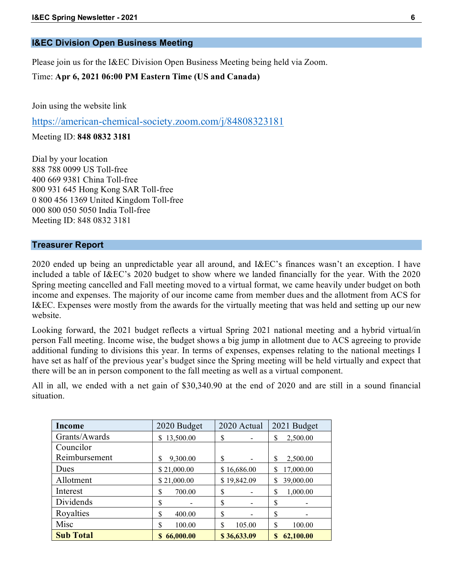# **I&EC Division Open Business Meeting**

Please join us for the I&EC Division Open Business Meeting being held via Zoom.

Time: **Apr 6, 2021 06:00 PM Eastern Time (US and Canada)**

Join using the website link

<https://american-chemical-society.zoom.com/j/84808323181>

Meeting ID: **848 0832 3181**

Dial by your location 888 788 0099 US Toll-free 400 669 9381 China Toll-free 800 931 645 Hong Kong SAR Toll-free 0 800 456 1369 United Kingdom Toll-free 000 800 050 5050 India Toll-free Meeting ID: 848 0832 3181

## **Treasurer Report**

2020 ended up being an unpredictable year all around, and I&EC's finances wasn't an exception. I have included a table of I&EC's 2020 budget to show where we landed financially for the year. With the 2020 Spring meeting cancelled and Fall meeting moved to a virtual format, we came heavily under budget on both income and expenses. The majority of our income came from member dues and the allotment from ACS for I&EC. Expenses were mostly from the awards for the virtually meeting that was held and setting up our new website.

Looking forward, the 2021 budget reflects a virtual Spring 2021 national meeting and a hybrid virtual/in person Fall meeting. Income wise, the budget shows a big jump in allotment due to ACS agreeing to provide additional funding to divisions this year. In terms of expenses, expenses relating to the national meetings I have set as half of the previous year's budget since the Spring meeting will be held virtually and expect that there will be an in person component to the fall meeting as well as a virtual component.

All in all, we ended with a net gain of \$30,340.90 at the end of 2020 and are still in a sound financial situation.

| Income           | 2020 Budget   | 2020 Actual                    | 2021 Budget    |
|------------------|---------------|--------------------------------|----------------|
| Grants/Awards    | \$13,500.00   | \$                             | 2,500.00<br>\$ |
| Councilor        |               |                                |                |
| Reimbursement    | 9,300.00<br>S | \$                             | 2,500.00<br>\$ |
| Dues             | \$21,000.00   | \$16,686.00                    | 17,000.00<br>S |
| Allotment        | \$21,000.00   | \$19,842.09                    | 39,000.00      |
| Interest         | \$<br>700.00  | \$                             | 1,000.00<br>\$ |
| Dividends        | \$            | \$<br>$\overline{\phantom{0}}$ | \$             |
| Royalties        | \$<br>400.00  | \$                             | \$             |
| Misc             | \$<br>100.00  | \$<br>105.00                   | \$<br>100.00   |
| <b>Sub Total</b> | 66,000.00     | \$36,633.09                    | 62,100.00<br>S |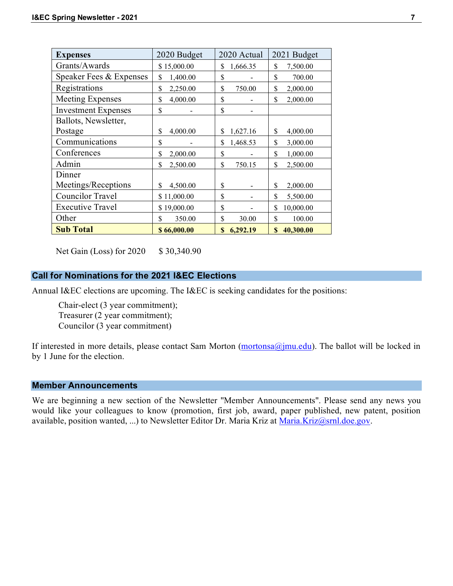| <b>Expenses</b>            | 2020 Budget     | 2020 Actual    | 2021 Budget     |
|----------------------------|-----------------|----------------|-----------------|
| Grants/Awards              | \$15,000.00     | \$<br>1,666.35 | \$<br>7,500.00  |
| Speaker Fees & Expenses    | \$<br>1,400.00  | \$             | \$<br>700.00    |
| Registrations              | \$<br>2,250.00  | \$<br>750.00   | \$<br>2,000.00  |
| <b>Meeting Expenses</b>    | \$<br>4,000.00  | \$             | \$<br>2,000.00  |
| <b>Investment Expenses</b> | \$              | \$             |                 |
| Ballots, Newsletter,       |                 |                |                 |
| Postage                    | \$<br>4,000.00  | \$<br>1,627.16 | \$<br>4,000.00  |
| Communications             | \$              | \$<br>1,468.53 | \$<br>3,000.00  |
| Conferences                | \$<br>2,000.00  | \$             | \$<br>1,000.00  |
| Admin                      | \$<br>2,500.00  | \$<br>750.15   | \$<br>2,500.00  |
| Dinner                     |                 |                |                 |
| Meetings/Receptions        | \$<br>4,500.00  | \$             | \$<br>2,000.00  |
| <b>Councilor Travel</b>    | \$11,000.00     | \$             | \$<br>5,500.00  |
| <b>Executive Travel</b>    | 19,000.00<br>S. | \$             | \$<br>10,000.00 |
| Other                      | \$<br>350.00    | \$<br>30.00    | \$<br>100.00    |
| <b>Sub Total</b>           | \$66,000.00     | \$<br>6,292.19 | \$<br>40,300.00 |

Net Gain (Loss) for 2020 \$ 30,340.90

## **Call for Nominations for the 2021 I&EC Elections**

Annual I&EC elections are upcoming. The I&EC is seeking candidates for the positions:

Chair-elect (3 year commitment); Treasurer (2 year commitment); Councilor (3 year commitment)

If interested in more details, please contact Sam Morton  $(mortonsa@jmu.edu)$ . The ballot will be locked in by 1 June for the election.

## **Member Announcements**

We are beginning a new section of the Newsletter "Member Announcements". Please send any news you would like your colleagues to know (promotion, first job, award, paper published, new patent, position available, position wanted, ...) to Newsletter Editor Dr. Maria Kriz at [Maria.Kriz@srnl.doe.gov.](mailto:Maria.Kriz@srnl.doe.gov)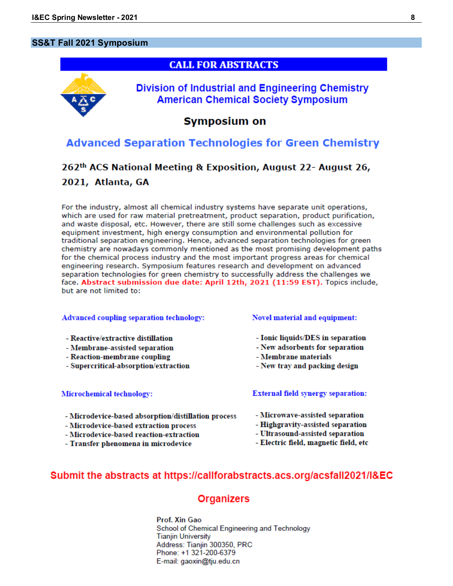## **SS&T Fall 2021 Symposium**



# **Advanced Separation Technologies for Green Chemistry**

# 262<sup>th</sup> ACS National Meeting & Exposition, August 22- August 26, 2021, Atlanta, GA

For the industry, almost all chemical industry systems have separate unit operations, which are used for raw material pretreatment, product separation, product purification, and waste disposal, etc. However, there are still some challenges such as excessive equipment investment, high energy consumption and environmental pollution for traditional separation engineering. Hence, advanced separation technologies for green chemistry are nowadays commonly mentioned as the most promising development paths for the chemical process industry and the most important progress areas for chemical engineering research. Symposium features research and development on advanced separation technologies for green chemistry to successfully address the challenges we face. Abstract submission due date: April 12th, 2021 (11:59 EST). Topics include, but are not limited to:

### **Advanced coupling separation technology:**

### - Reactive/extractive distillation

- Membrane-assisted separation
- Reaction-membrane coupling
- Supercritical-absorption/extraction

### Microchemical technology:

- Microdevice-based absorption/distillation process
- Microdevice-based extraction process
- Microdevice-based reaction-extraction
- Transfer phenomena in microdevice

## Novel material and equipment:

- Ionic liquids/DES in separation
- New adsorbents for separation
- Membrane materials
- New tray and packing design

## **External field synergy separation:**

- Microwave-assisted separation
- Highgravity-assisted separation
- Ultrasound-assisted separation
- Electric field, magnetic field, etc

# Submit the abstracts at https://callforabstracts.acs.org/acsfall2021/I&EC

# **Organizers**

Prof. Xin Gao School of Chemical Engineering and Technology **Tianjin University** Address: Tianjin 300350, PRC Phone: +1 321-200-6379 E-mail: gaoxin@tju.edu.cn